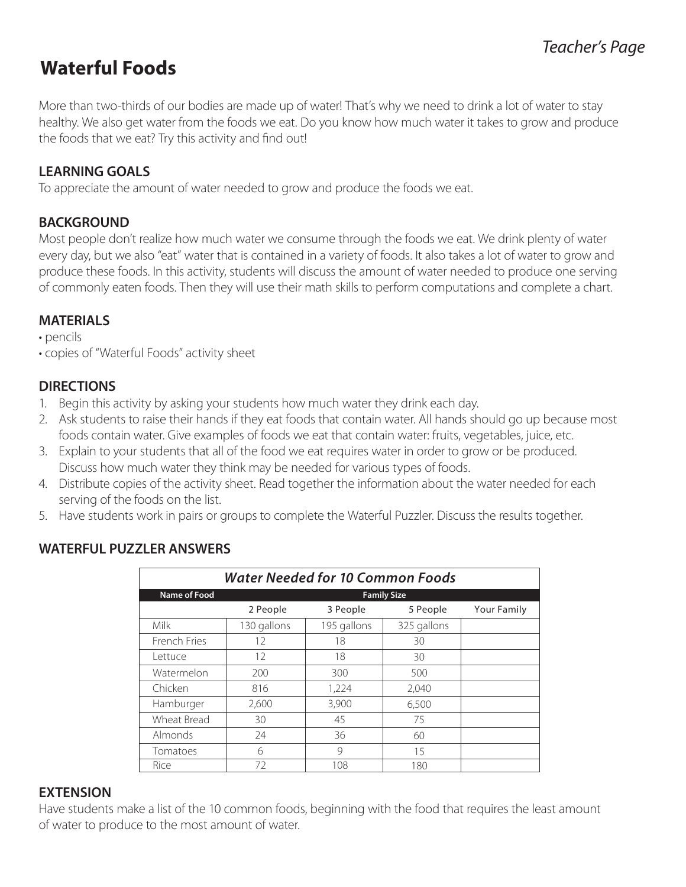## **Waterful Foods**

More than two-thirds of our bodies are made up of water! That's why we need to drink a lot of water to stay healthy. We also get water from the foods we eat. Do you know how much water it takes to grow and produce the foods that we eat? Try this activity and find out!

### **LEARNING GOALS**

To appreciate the amount of water needed to grow and produce the foods we eat.

### **BACKGROUND**

Most people don't realize how much water we consume through the foods we eat. We drink plenty of water every day, but we also "eat" water that is contained in a variety of foods. It also takes a lot of water to grow and produce these foods. In this activity, students will discuss the amount of water needed to produce one serving of commonly eaten foods. Then they will use their math skills to perform computations and complete a chart.

## **MATERIALS**

- pencils
- copies of "Waterful Foods" activity sheet

**WATERFUL PUZZLER ANSWERS**

### **DIRECTIONS**

- 1. Begin this activity by asking your students how much water they drink each day.
- 2. Ask students to raise their hands if they eat foods that contain water. All hands should go up because most foods contain water. Give examples of foods we eat that contain water: fruits, vegetables, juice, etc.
- 3. Explain to your students that all of the food we eat requires water in order to grow or be produced. Discuss how much water they think may be needed for various types of foods.
- 4. Distribute copies of the activity sheet. Read together the information about the water needed for each serving of the foods on the list.
- 5. Have students work in pairs or groups to complete the Waterful Puzzler. Discuss the results together.

| <b>Water Needed for 10 Common Foods</b> |                    |               |             |                    |  |  |  |
|-----------------------------------------|--------------------|---------------|-------------|--------------------|--|--|--|
| <b>Name of Food</b>                     | <b>Family Size</b> |               |             |                    |  |  |  |
|                                         | 2 People           | 3 People      | 5 People    | <b>Your Family</b> |  |  |  |
| Milk                                    | 130 gallons        | 195 gallons   | 325 gallons |                    |  |  |  |
| French Fries                            | 12                 | 18            | 30          |                    |  |  |  |
| Lettuce                                 | 12                 | 18            | 30          |                    |  |  |  |
| Watermelon                              | 200                | 300           | 500         |                    |  |  |  |
| Chicken                                 | 816                | 1,224         | 2,040       |                    |  |  |  |
| Hamburger                               | 2,600              | 3,900         | 6,500       |                    |  |  |  |
| Wheat Bread                             | 30                 | 45            | 75          |                    |  |  |  |
| Almonds                                 | 24                 | 36            | 60          |                    |  |  |  |
| Tomatoes                                | 6                  | $\mathcal{Q}$ | 15          |                    |  |  |  |
| Rice                                    | 72                 | 108           | 180         |                    |  |  |  |

#### **EXTENSION**

Have students make a list of the 10 common foods, beginning with the food that requires the least amount of water to produce to the most amount of water.